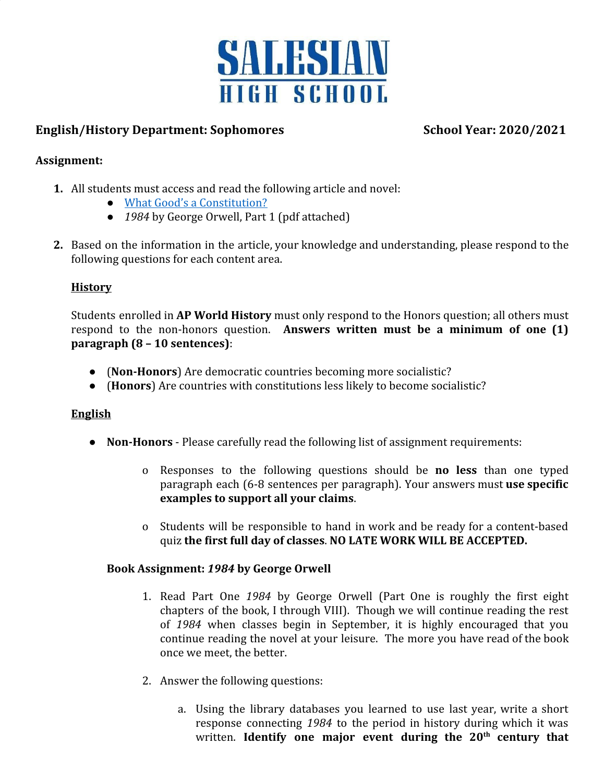

# **English/History Department: Sophomores School Year: 2020/2021**

# **Assignment:**

- **1.** All students must access and read the following article and novel:
	- [What Good's a Constitution?](http://csinvesting.org/wp-content/uploads/2012/08/churchill_what_goods_is_-a_constitution.pdf)
	- *1984* by George Orwell, Part 1 (pdf attached)
- **2.** Based on the information in the article, your knowledge and understanding, please respond to the following questions for each content area.

# **History**

Students enrolled in **AP World History** must only respond to the Honors question; all others must respond to the non-honors question. **Answers written must be a minimum of one (1) paragraph (8 – 10 sentences)**:

- (**Non-Honors**) Are democratic countries becoming more socialistic?
- (**Honors**) Are countries with constitutions less likely to become socialistic?

# **English**

- **Non-Honors** Please carefully read the following list of assignment requirements:
	- o Responses to the following questions should be **no less** than one typed paragraph each (6-8 sentences per paragraph). Your answers must **use specific examples to support all your claims**.
	- o Students will be responsible to hand in work and be ready for a content-based quiz **the first full day of classes**. **NO LATE WORK WILL BE ACCEPTED.**

# **Book Assignment:** *1984* **by George Orwell**

- 1. Read Part One *1984* by George Orwell (Part One is roughly the first eight chapters of the book, I through VIII). Though we will continue reading the rest of *1984* when classes begin in September, it is highly encouraged that you continue reading the novel at your leisure. The more you have read of the book once we meet, the better.
- 2. Answer the following questions:
	- a. Using the library databases you learned to use last year, write a short response connecting *1984* to the period in history during which it was written. **Identify one major event during the 20th century that**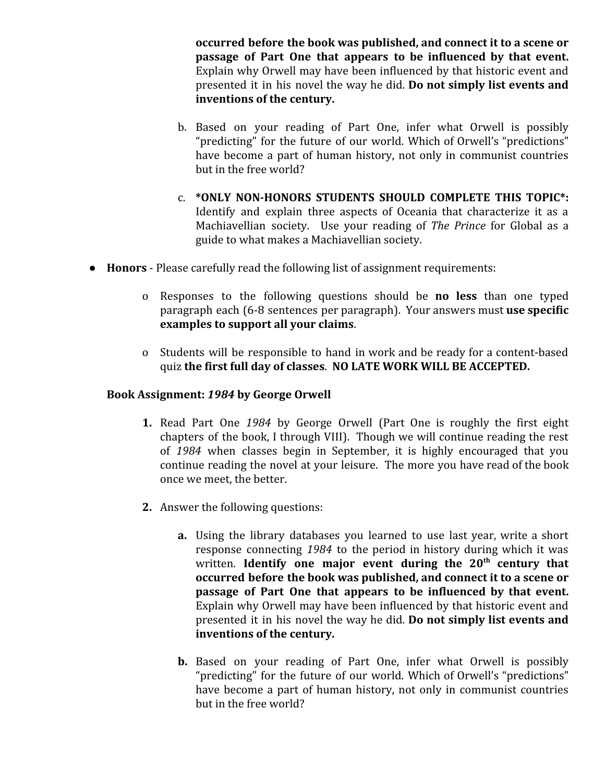**occurred before the book was published, and connect it to a scene or passage of Part One that appears to be influenced by that event.** Explain why Orwell may have been influenced by that historic event and presented it in his novel the way he did. **Do not simply list events and inventions of the century.**

- b. Based on your reading of Part One, infer what Orwell is possibly "predicting" for the future of our world. Which of Orwell's "predictions" have become a part of human history, not only in communist countries but in the free world?
- c. **\*ONLY NON-HONORS STUDENTS SHOULD COMPLETE THIS TOPIC\*:** Identify and explain three aspects of Oceania that characterize it as a Machiavellian society. Use your reading of *The Prince* for Global as a guide to what makes a Machiavellian society.
- **Honors**  Please carefully read the following list of assignment requirements:
	- o Responses to the following questions should be **no less** than one typed paragraph each (6-8 sentences per paragraph). Your answers must **use specific examples to support all your claims**.
	- o Students will be responsible to hand in work and be ready for a content-based quiz **the first full day of classes**. **NO LATE WORK WILL BE ACCEPTED.**

#### **Book Assignment:** *1984* **by George Orwell**

- **1.** Read Part One *1984* by George Orwell (Part One is roughly the first eight chapters of the book, I through VIII). Though we will continue reading the rest of *1984* when classes begin in September, it is highly encouraged that you continue reading the novel at your leisure. The more you have read of the book once we meet, the better.
- **2.** Answer the following questions:
	- **a.** Using the library databases you learned to use last year, write a short response connecting *1984* to the period in history during which it was written. **Identify one major event during the 20th century that occurred before the book was published, and connect it to a scene or passage of Part One that appears to be influenced by that event.** Explain why Orwell may have been influenced by that historic event and presented it in his novel the way he did. **Do not simply list events and inventions of the century.**
	- **b.** Based on your reading of Part One, infer what Orwell is possibly "predicting" for the future of our world. Which of Orwell's "predictions" have become a part of human history, not only in communist countries but in the free world?